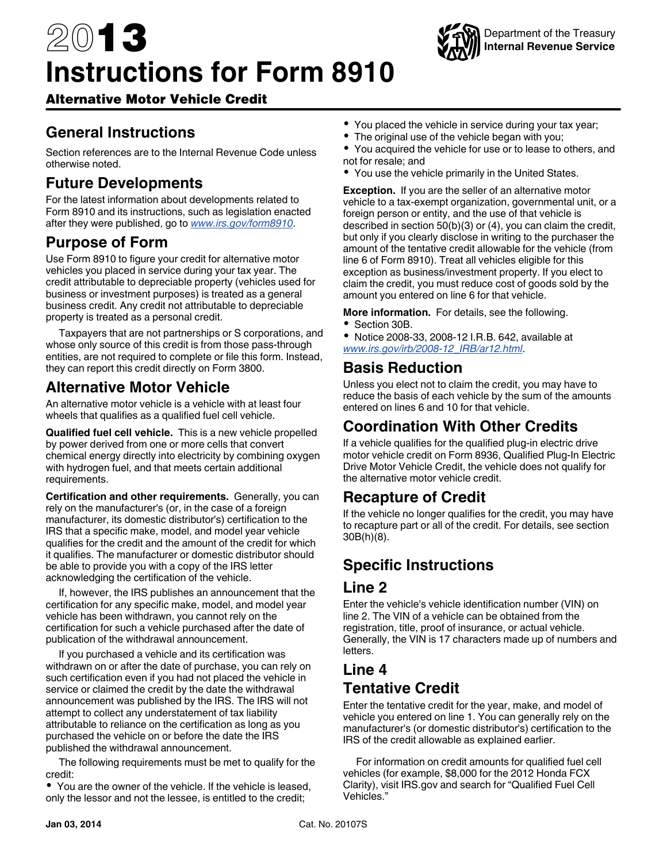# 2013 **Instructions for Form 8910**



## Alternative Motor Vehicle Credit

# **General Instructions**

Section references are to the Internal Revenue Code unless otherwise noted.

# **Future Developments**

For the latest information about developments related to Form 8910 and its instructions, such as legislation enacted after they were published, go to *[www.irs.gov/form8910](http://www.irs.gov/form8910)*.

#### **Purpose of Form**

Use Form 8910 to figure your credit for alternative motor vehicles you placed in service during your tax year. The credit attributable to depreciable property (vehicles used for business or investment purposes) is treated as a general business credit. Any credit not attributable to depreciable property is treated as a personal credit.

Taxpayers that are not partnerships or S corporations, and whose only source of this credit is from those pass-through entities, are not required to complete or file this form. Instead, they can report this credit directly on Form 3800.

# **Alternative Motor Vehicle**

An alternative motor vehicle is a vehicle with at least four wheels that qualifies as a qualified fuel cell vehicle.

**Qualified fuel cell vehicle.** This is a new vehicle propelled by power derived from one or more cells that convert chemical energy directly into electricity by combining oxygen with hydrogen fuel, and that meets certain additional requirements.

**Certification and other requirements.** Generally, you can rely on the manufacturer's (or, in the case of a foreign manufacturer, its domestic distributor's) certification to the IRS that a specific make, model, and model year vehicle qualifies for the credit and the amount of the credit for which it qualifies. The manufacturer or domestic distributor should be able to provide you with a copy of the IRS letter acknowledging the certification of the vehicle.

If, however, the IRS publishes an announcement that the certification for any specific make, model, and model year vehicle has been withdrawn, you cannot rely on the certification for such a vehicle purchased after the date of publication of the withdrawal announcement.

If you purchased a vehicle and its certification was withdrawn on or after the date of purchase, you can rely on such certification even if you had not placed the vehicle in service or claimed the credit by the date the withdrawal announcement was published by the IRS. The IRS will not attempt to collect any understatement of tax liability attributable to reliance on the certification as long as you purchased the vehicle on or before the date the IRS published the withdrawal announcement.

The following requirements must be met to qualify for the credit:

You are the owner of the vehicle. If the vehicle is leased, only the lessor and not the lessee, is entitled to the credit;

- You placed the vehicle in service during your tax year;
- The original use of the vehicle began with you;

You acquired the vehicle for use or to lease to others, and not for resale; and

You use the vehicle primarily in the United States.

**Exception.** If you are the seller of an alternative motor vehicle to a tax-exempt organization, governmental unit, or a foreign person or entity, and the use of that vehicle is described in section 50(b)(3) or (4), you can claim the credit, but only if you clearly disclose in writing to the purchaser the amount of the tentative credit allowable for the vehicle (from line 6 of Form 8910). Treat all vehicles eligible for this exception as business/investment property. If you elect to claim the credit, you must reduce cost of goods sold by the amount you entered on line 6 for that vehicle.

**More information.** For details, see the following.

• Section 30B.

Notice 2008-33, 2008-12 I.R.B. 642, available at *[www.irs.gov/irb/2008-12\\_IRB/ar12.html](http://www.irs.gov/irb/2008-12_IRB/ar12.html)*.

## **Basis Reduction**

Unless you elect not to claim the credit, you may have to reduce the basis of each vehicle by the sum of the amounts entered on lines 6 and 10 for that vehicle.

# **Coordination With Other Credits**

If a vehicle qualifies for the qualified plug-in electric drive motor vehicle credit on Form 8936, Qualified Plug-In Electric Drive Motor Vehicle Credit, the vehicle does not qualify for the alternative motor vehicle credit.

#### **Recapture of Credit**

If the vehicle no longer qualifies for the credit, you may have to recapture part or all of the credit. For details, see section 30B(h)(8).

# **Specific Instructions**

#### **Line 2**

Enter the vehicle's vehicle identification number (VIN) on line 2. The VIN of a vehicle can be obtained from the registration, title, proof of insurance, or actual vehicle. Generally, the VIN is 17 characters made up of numbers and letters.

# **Line 4 Tentative Credit**

Enter the tentative credit for the year, make, and model of vehicle you entered on line 1. You can generally rely on the manufacturer's (or domestic distributor's) certification to the IRS of the credit allowable as explained earlier.

For information on credit amounts for qualified fuel cell vehicles (for example, \$8,000 for the 2012 Honda FCX Clarity), visit IRS.gov and search for "Qualified Fuel Cell Vehicles."